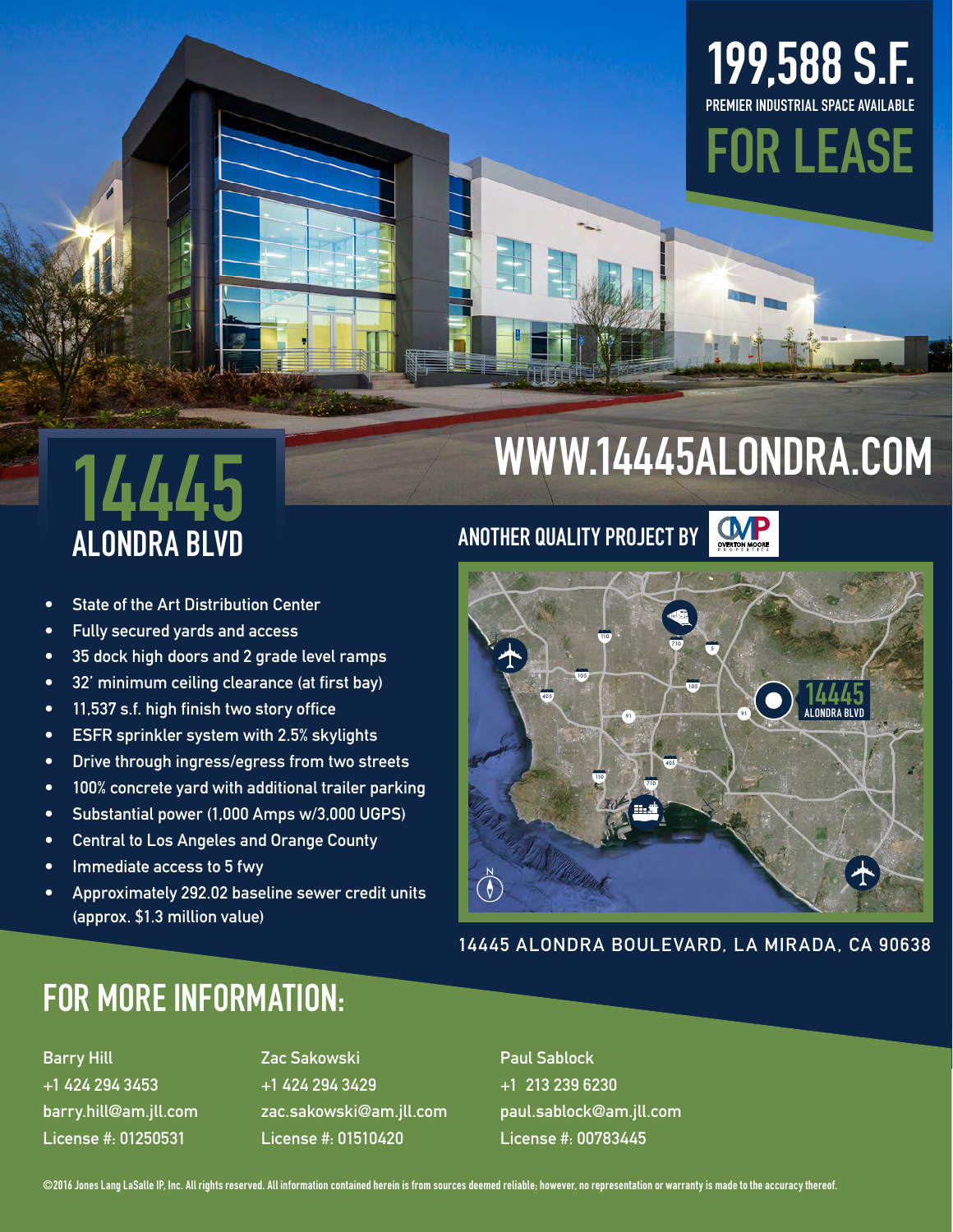### **199,588 S.F. PREMIER INDUSTRIAL SPACE AVAILABLE**



# **14445**

- **• State of the Art Distribution Center**
- **• Fully secured yards and access**
- **• 35 dock high doors and 2 grade level ramps**
- **• 32' minimum ceiling clearance (at first bay)**
- **• 11,537 s.f. high finish two story office**
- **• ESFR sprinkler system with 2.5% skylights**
- **• Drive through ingress/egress from two streets**
- **• 100% concrete yard with additional trailer parking**
- **• Substantial power (1,000 Amps w/3,000 UGPS)**
- **• Central to Los Angeles and Orange County**
- **• Immediate access to 5 fwy**
- **• Approximately 292.02 baseline sewer credit units (approx. \$1.3 million value)**

## **WWW.14445ALONDRA.COM**







**14445 ALONDRA BOULEVARD, LA MIRADA, CA 90638**

#### **FOR MORE INFORMATION:**

**Barry Hill +1 424 294 3453 barry.hill@am.jll.com License #: 01250531**

**Zac Sakowski +1 424 294 3429 zac.sakowski@am.jll.com License #: 01510420**

**Paul Sablock +1 213 239 6230 paul.sablock@am.jll.com License #: 00783445**

**©2016 Jones Lang LaSalle IP, Inc. All rights reserved. All information contained herein is from sources deemed reliable; however, no representation or warranty is made to the accuracy thereof.**